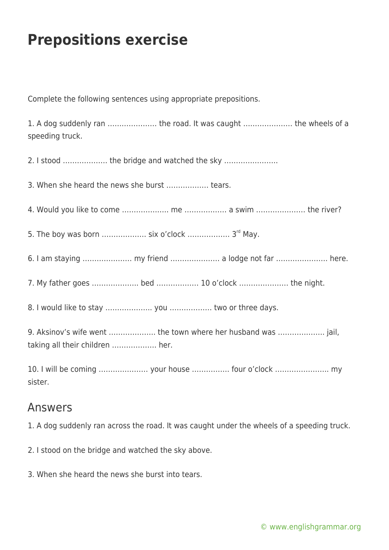## **Prepositions exercise**

Complete the following sentences using appropriate prepositions.

1. A dog suddenly ran ………………… the road. It was caught ………………… the wheels of a speeding truck.

2. I stood ………………. the bridge and watched the sky …………………..

3. When she heard the news she burst ……………… tears.

4. Would you like to come ……………….. me ……………… a swim ………………… the river?

5. The boy was born ………………. six o'clock ……………… 3rd May.

- 6. I am staying ………………… my friend ………………… a lodge not far …………………. here.
- 7. My father goes ……………….. bed ……………… 10 o'clock ………………… the night.

8. I would like to stay ……………….. you ……………… two or three days.

9. Aksinov's wife went ……………….. the town where her husband was ……………….. jail, taking all their children ………………. her.

10. I will be coming ………………… your house ……………. four o'clock ………………….. my sister.

## Answers

- 1. A dog suddenly ran across the road. It was caught under the wheels of a speeding truck.
- 2. I stood on the bridge and watched the sky above.
- 3. When she heard the news she burst into tears.